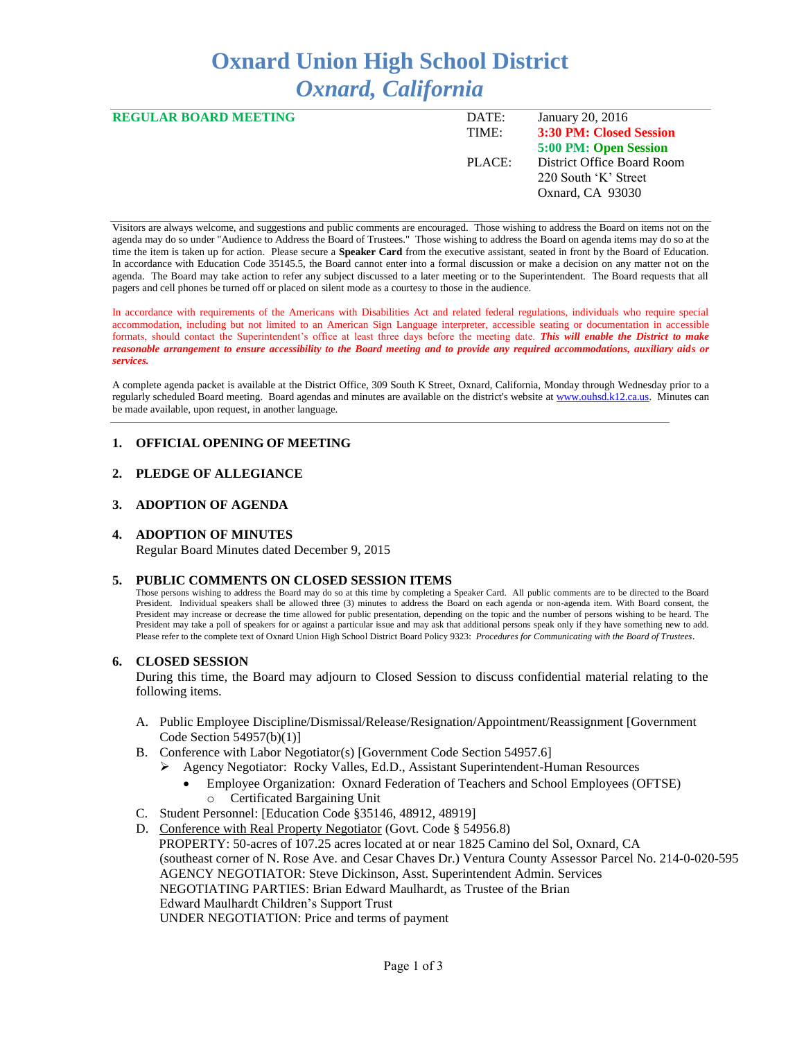# **Oxnard Union High School District** *Oxnard, California*

| <b>REGULAR BOARD MEETING</b> | DATE:  | January 20, 2016           |
|------------------------------|--------|----------------------------|
|                              | TIME:  | 3:30 PM: Closed Session    |
|                              |        | 5:00 PM: Open Session      |
|                              | PLACE: | District Office Board Room |
|                              |        | 220 South 'K' Street       |
|                              |        | Oxnard, CA 93030           |
|                              |        |                            |

Visitors are always welcome, and suggestions and public comments are encouraged. Those wishing to address the Board on items not on the agenda may do so under "Audience to Address the Board of Trustees." Those wishing to address the Board on agenda items may do so at the time the item is taken up for action. Please secure a **Speaker Card** from the executive assistant, seated in front by the Board of Education. In accordance with Education Code 35145.5, the Board cannot enter into a formal discussion or make a decision on any matter not on the agenda. The Board may take action to refer any subject discussed to a later meeting or to the Superintendent. The Board requests that all pagers and cell phones be turned off or placed on silent mode as a courtesy to those in the audience.

In accordance with requirements of the Americans with Disabilities Act and related federal regulations, individuals who require special accommodation, including but not limited to an American Sign Language interpreter, accessible seating or documentation in accessible formats, should contact the Superintendent's office at least three days before the meeting date. *This will enable the District to make reasonable arrangement to ensure accessibility to the Board meeting and to provide any required accommodations, auxiliary aids or services.* 

A complete agenda packet is available at the District Office, 309 South K Street, Oxnard, California, Monday through Wednesday prior to a regularly scheduled Board meeting. Board agendas and minutes are available on the district's website a[t www.ouhsd.k12.ca.us.](http://www.ouhsd.k12.ca.us/)Minutes can be made available, upon request, in another language.

## **1. OFFICIAL OPENING OF MEETING**

## **2. PLEDGE OF ALLEGIANCE**

## **3. ADOPTION OF AGENDA**

### **4. ADOPTION OF MINUTES**

Regular Board Minutes dated December 9, 2015

## **5. PUBLIC COMMENTS ON CLOSED SESSION ITEMS**

Those persons wishing to address the Board may do so at this time by completing a Speaker Card. All public comments are to be directed to the Board President. Individual speakers shall be allowed three (3) minutes to address the Board on each agenda or non-agenda item. With Board consent, the President may increase or decrease the time allowed for public presentation, depending on the topic and the number of persons wishing to be heard. The President may take a poll of speakers for or against a particular issue and may ask that additional persons speak only if they have something new to add. Please refer to the complete text of Oxnard Union High School District Board Policy 9323: *Procedures for Communicating with the Board of Trustees*.

#### **6. CLOSED SESSION**

During this time, the Board may adjourn to Closed Session to discuss confidential material relating to the following items.

- A. Public Employee Discipline/Dismissal/Release/Resignation/Appointment/Reassignment [Government Code Section 54957(b)(1)]
- B. Conference with Labor Negotiator(s) [Government Code Section 54957.6]
	- Agency Negotiator: Rocky Valles, Ed.D., Assistant Superintendent-Human Resources
		- Employee Organization: Oxnard Federation of Teachers and School Employees (OFTSE) o Certificated Bargaining Unit
- C. Student Personnel: [Education Code §35146, 48912, 48919]
- D. Conference with Real Property Negotiator (Govt. Code § 54956.8) PROPERTY: 50-acres of 107.25 acres located at or near 1825 Camino del Sol, Oxnard, CA (southeast corner of N. Rose Ave. and Cesar Chaves Dr.) Ventura County Assessor Parcel No. 214-0-020-595 AGENCY NEGOTIATOR: Steve Dickinson, Asst. Superintendent Admin. Services NEGOTIATING PARTIES: Brian Edward Maulhardt, as Trustee of the Brian Edward Maulhardt Children's Support Trust UNDER NEGOTIATION: Price and terms of payment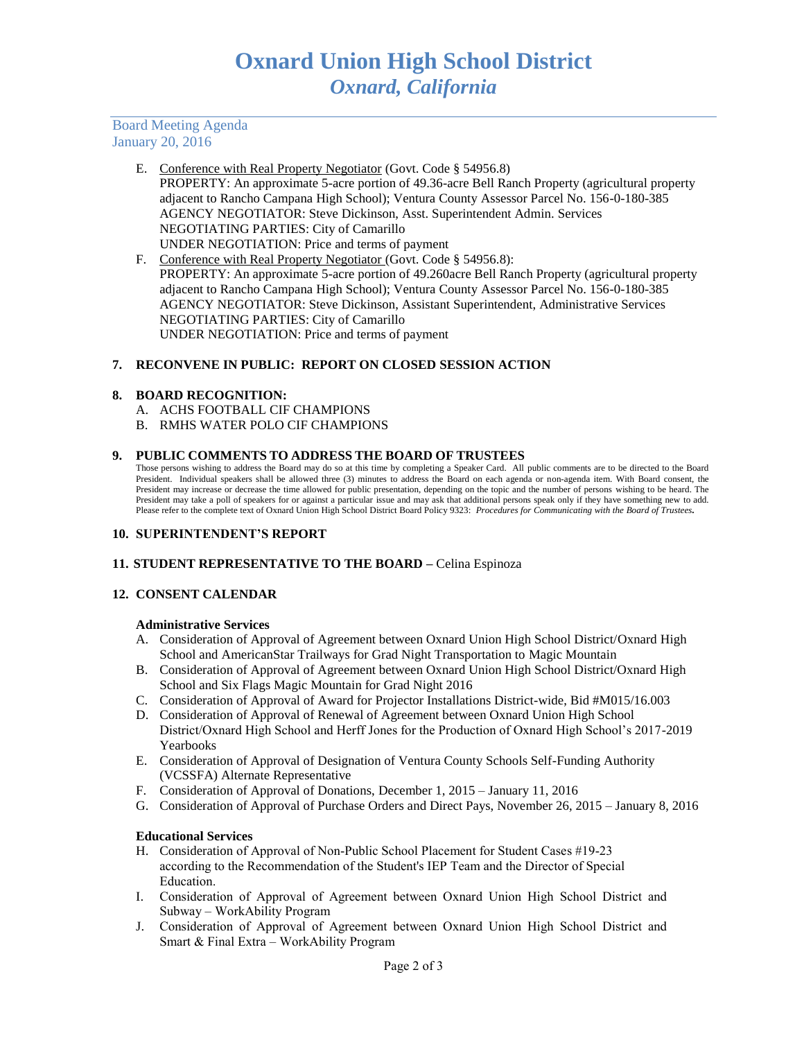Board Meeting Agenda January 20, 2016

- E. Conference with Real Property Negotiator (Govt. Code § 54956.8) PROPERTY: An approximate 5-acre portion of 49.36-acre Bell Ranch Property (agricultural property adjacent to Rancho Campana High School); Ventura County Assessor Parcel No. 156-0-180-385 AGENCY NEGOTIATOR: Steve Dickinson, Asst. Superintendent Admin. Services NEGOTIATING PARTIES: City of Camarillo UNDER NEGOTIATION: Price and terms of payment
- F. Conference with Real Property Negotiator (Govt. Code § 54956.8): PROPERTY: An approximate 5-acre portion of 49.260acre Bell Ranch Property (agricultural property adjacent to Rancho Campana High School); Ventura County Assessor Parcel No. 156-0-180-385 AGENCY NEGOTIATOR: Steve Dickinson, Assistant Superintendent, Administrative Services NEGOTIATING PARTIES: City of Camarillo UNDER NEGOTIATION: Price and terms of payment

## **7. RECONVENE IN PUBLIC: REPORT ON CLOSED SESSION ACTION**

#### **8. BOARD RECOGNITION:**

- A. ACHS FOOTBALL CIF CHAMPIONS
- B. RMHS WATER POLO CIF CHAMPIONS

## **9. PUBLIC COMMENTS TO ADDRESS THE BOARD OF TRUSTEES**

Those persons wishing to address the Board may do so at this time by completing a Speaker Card. All public comments are to be directed to the Board President. Individual speakers shall be allowed three (3) minutes to address the Board on each agenda or non-agenda item. With Board consent, the President may increase or decrease the time allowed for public presentation, depending on the topic and the number of persons wishing to be heard. The President may take a poll of speakers for or against a particular issue and may ask that additional persons speak only if they have something new to add. Please refer to the complete text of Oxnard Union High School District Board Policy 9323: *Procedures for Communicating with the Board of Trustees.*

## **10. SUPERINTENDENT'S REPORT**

## **11. STUDENT REPRESENTATIVE TO THE BOARD –** Celina Espinoza

## **12. CONSENT CALENDAR**

#### **Administrative Services**

- A. Consideration of Approval of Agreement between Oxnard Union High School District/Oxnard High School and AmericanStar Trailways for Grad Night Transportation to Magic Mountain
- B. Consideration of Approval of Agreement between Oxnard Union High School District/Oxnard High School and Six Flags Magic Mountain for Grad Night 2016
- C. Consideration of Approval of Award for Projector Installations District-wide, Bid #M015/16.003
- D. Consideration of Approval of Renewal of Agreement between Oxnard Union High School District/Oxnard High School and Herff Jones for the Production of Oxnard High School's 2017-2019 Yearbooks
- E. Consideration of Approval of Designation of Ventura County Schools Self-Funding Authority (VCSSFA) Alternate Representative
- F. Consideration of Approval of Donations, December 1, 2015 January 11, 2016
- G. Consideration of Approval of Purchase Orders and Direct Pays, November 26, 2015 January 8, 2016

## **Educational Services**

- H. Consideration of Approval of Non-Public School Placement for Student Cases #19-23 according to the Recommendation of the Student's IEP Team and the Director of Special Education.
- I. Consideration of Approval of Agreement between Oxnard Union High School District and Subway – WorkAbility Program
- J. Consideration of Approval of Agreement between Oxnard Union High School District and Smart & Final Extra – WorkAbility Program